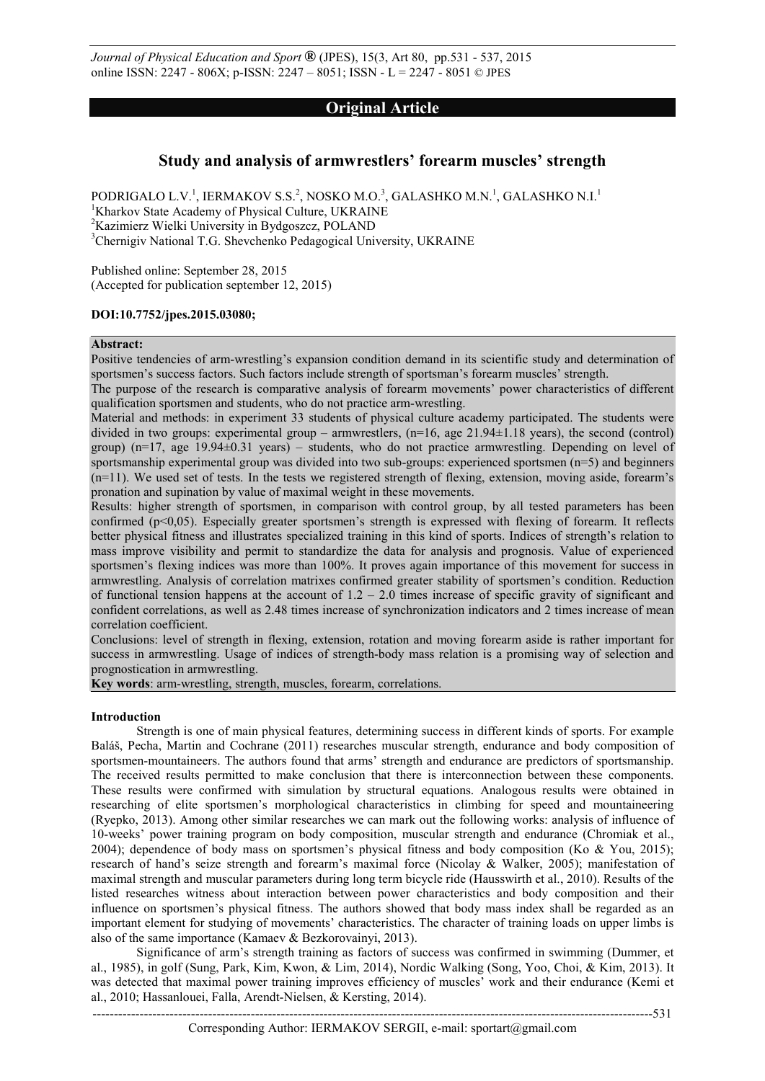*Journal of Physical Education and Sport* **®** (JPES), 15(3, Art 80, pp.531 - 537, 2015 online ISSN: 2247 - 806X; p-ISSN: 2247 – 8051; ISSN - L = 2247 - 8051 © JPES

# **Original Article**

# **Study and analysis of armwrestlers' forearm muscles' strength**

PODRIGALO L.V.<sup>1</sup>, IERMAKOV S.S.<sup>2</sup>, NOSKO M.O.<sup>3</sup>, GALASHKO M.N.<sup>1</sup>, GALASHKO N.I.<sup>1</sup> <sup>1</sup>Kharkov State Academy of Physical Culture, UKRAINE <sup>2</sup>Kazimierz Wielki University in Bydgoszcz, POLAND <sup>3</sup>Chernigiv National T.G. Shevchenko Pedagogical University, UKRAINE

Published online: September 28, 2015 (Accepted for publication september 12, 2015)

# **DOI:10.7752/jpes.2015.03080;**

#### **Abstract:**

Positive tendencies of arm-wrestling's expansion condition demand in its scientific study and determination of sportsmen's success factors. Such factors include strength of sportsman's forearm muscles' strength.

The purpose of the research is comparative analysis of forearm movements' power characteristics of different qualification sportsmen and students, who do not practice arm-wrestling.

Material and methods: in experiment 33 students of physical culture academy participated. The students were divided in two groups: experimental group – armwrestlers,  $(n=16,$  age  $21.94\pm1.18$  years), the second (control) group) (n=17, age 19.94±0.31 years) – students, who do not practice armwrestling. Depending on level of sportsmanship experimental group was divided into two sub-groups: experienced sportsmen (n=5) and beginners (n=11). We used set of tests. In the tests we registered strength of flexing, extension, moving aside, forearm's pronation and supination by value of maximal weight in these movements.

Results: higher strength of sportsmen, in comparison with control group, by all tested parameters has been confirmed (p<0,05). Especially greater sportsmen's strength is expressed with flexing of forearm. It reflects better physical fitness and illustrates specialized training in this kind of sports. Indices of strength's relation to mass improve visibility and permit to standardize the data for analysis and prognosis. Value of experienced sportsmen's flexing indices was more than 100%. It proves again importance of this movement for success in armwrestling. Analysis of correlation matrixes confirmed greater stability of sportsmen's condition. Reduction of functional tension happens at the account of  $1.2 - 2.0$  times increase of specific gravity of significant and confident correlations, as well as 2.48 times increase of synchronization indicators and 2 times increase of mean correlation coefficient.

Conclusions: level of strength in flexing, extension, rotation and moving forearm aside is rather important for success in armwrestling. Usage of indices of strength-body mass relation is a promising way of selection and prognostication in armwrestling.

**Key words**: arm-wrestling, strength, muscles, forearm, correlations.

### **Introduction**

Strength is one of main physical features, determining success in different kinds of sports. For example Baláš, Pecha, Martin and Cochrane (2011) researches muscular strength, endurance and body composition of sportsmen-mountaineers. The authors found that arms' strength and endurance are predictors of sportsmanship. The received results permitted to make conclusion that there is interconnection between these components. These results were confirmed with simulation by structural equations. Analogous results were obtained in researching of elite sportsmen's morphological characteristics in climbing for speed and mountaineering (Ryepko, 2013). Among other similar researches we can mark out the following works: analysis of influence of 10-weeks' power training program on body composition, muscular strength and endurance (Chromiak et al., 2004); dependence of body mass on sportsmen's physical fitness and body composition (Ko & You, 2015); research of hand's seize strength and forearm's maximal force (Nicolay & Walker, 2005); manifestation of maximal strength and muscular parameters during long term bicycle ride (Hausswirth et al., 2010). Results of the listed researches witness about interaction between power characteristics and body composition and their influence on sportsmen's physical fitness. The authors showed that body mass index shall be regarded as an important element for studying of movements' characteristics. The character of training loads on upper limbs is also of the same importance (Kamaev & Bezkorovainyi, 2013).

Significance of arm's strength training as factors of success was confirmed in swimming (Dummer, et al., 1985), in golf (Sung, Park, Kim, Kwon, & Lim, 2014), Nordic Walking (Song, Yoo, Choi, & Kim, 2013). It was detected that maximal power training improves efficiency of muscles' work and their endurance (Kemi et al., 2010; Hassanlouei, Falla, Arendt-Nielsen, & Kersting, 2014).

Corresponding Author: IERMAKOV SERGII, e-mail: sportart@gmail.com

-----------------------------------------------------------------------------------------------------------------------------------531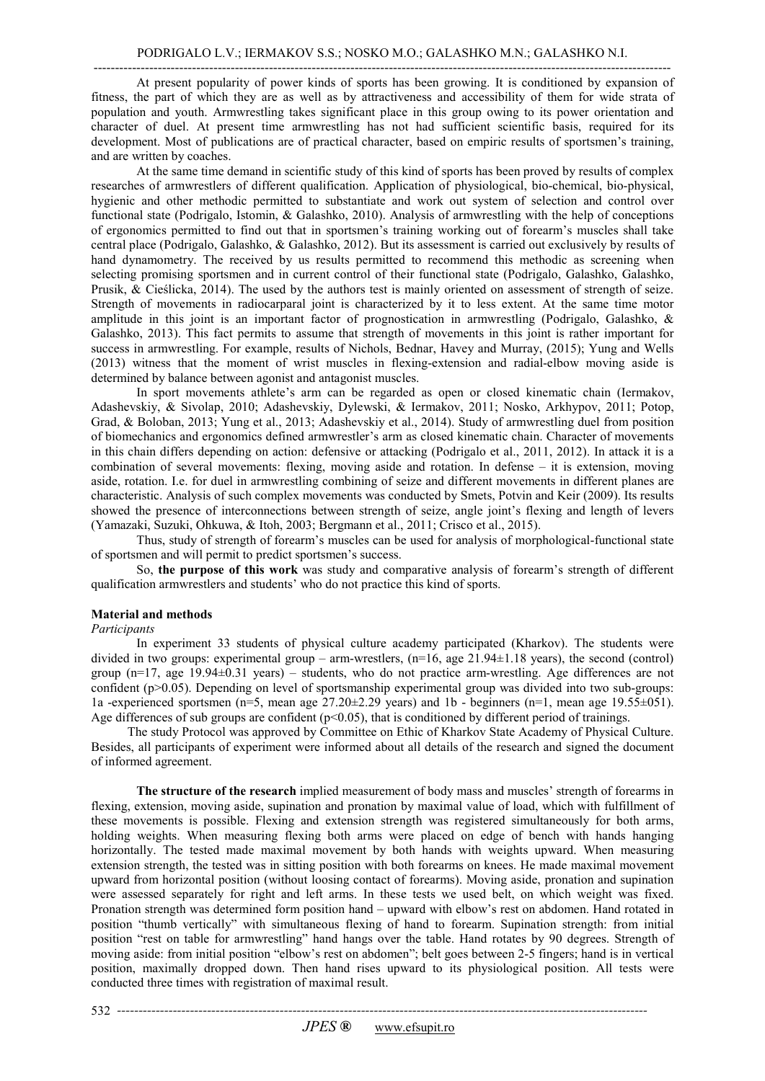At present popularity of power kinds of sports has been growing. It is conditioned by expansion of fitness, the part of which they are as well as by attractiveness and accessibility of them for wide strata of population and youth. Armwrestling takes significant place in this group owing to its power orientation and character of duel. At present time armwrestling has not had sufficient scientific basis, required for its development. Most of publications are of practical character, based on empiric results of sportsmen's training, and are written by coaches.

At the same time demand in scientific study of this kind of sports has been proved by results of complex researches of armwrestlers of different qualification. Application of physiological, bio-chemical, bio-physical, hygienic and other methodic permitted to substantiate and work out system of selection and control over functional state (Podrigalo, Istomin, & Galashko, 2010). Analysis of armwrestling with the help of conceptions of ergonomics permitted to find out that in sportsmen's training working out of forearm's muscles shall take central place (Podrigalo, Galashko, & Galashko, 2012). But its assessment is carried out exclusively by results of hand dynamometry. The received by us results permitted to recommend this methodic as screening when selecting promising sportsmen and in current control of their functional state (Podrigalo, Galashko, Galashko, Prusik, & Cieślicka, 2014). The used by the authors test is mainly oriented on assessment of strength of seize. Strength of movements in radiocarparal joint is characterized by it to less extent. At the same time motor amplitude in this joint is an important factor of prognostication in armwrestling (Podrigalo, Galashko, & Galashko, 2013). This fact permits to assume that strength of movements in this joint is rather important for success in armwrestling. For example, results of Nichols, Bednar, Havey and Murray, (2015); Yung and Wells (2013) witness that the moment of wrist muscles in flexing-extension and radial-elbow moving aside is determined by balance between agonist and antagonist muscles.

In sport movements athlete's arm can be regarded as open or closed kinematic chain (Iermakov, Adashevskiy, & Sivolap, 2010; Adashevskiy, Dylewski, & Iermakov, 2011; Nosko, Arkhypov, 2011; Potop, Grad, & Boloban, 2013; Yung et al., 2013; Adashevskiy et al., 2014). Study of armwrestling duel from position of biomechanics and ergonomics defined armwrestler's arm as closed kinematic chain. Character of movements in this chain differs depending on action: defensive or attacking (Podrigalo et al., 2011, 2012). In attack it is a combination of several movements: flexing, moving aside and rotation. In defense – it is extension, moving aside, rotation. I.e. for duel in armwrestling combining of seize and different movements in different planes are characteristic. Analysis of such complex movements was conducted by Smets, Potvin and Keir (2009). Its results showed the presence of interconnections between strength of seize, angle joint's flexing and length of levers (Yamazaki, Suzuki, Ohkuwa, & Itoh, 2003; Bergmann et al., 2011; Crisco et al., 2015).

Thus, study of strength of forearm's muscles can be used for analysis of morphological-functional state of sportsmen and will permit to predict sportsmen's success.

So, **the purpose of this work** was study and comparative analysis of forearm's strength of different qualification armwrestlers and students' who do not practice this kind of sports.

## **Material and methods**

*Participants* 

In experiment 33 students of physical culture academy participated (Kharkov). The students were divided in two groups: experimental group – arm-wrestlers,  $(n=16,$  age  $21.94\pm1.18$  years), the second (control) group (n=17, age 19.94±0.31 years) – students, who do not practice arm-wrestling. Age differences are not confident ( $p>0.05$ ). Depending on level of sportsmanship experimental group was divided into two sub-groups: 1a -experienced sportsmen (n=5, mean age  $27.20 \pm 2.29$  years) and 1b - beginners (n=1, mean age 19.55 $\pm$ 051). Age differences of sub groups are confident ( $p<0.05$ ), that is conditioned by different period of trainings.

The study Protocol was approved by Committee on Ethic of Kharkov State Academy of Physical Culture. Besides, all participants of experiment were informed about all details of the research and signed the document of informed agreement.

 **The structure of the research** implied measurement of body mass and muscles' strength of forearms in flexing, extension, moving aside, supination and pronation by maximal value of load, which with fulfillment of these movements is possible. Flexing and extension strength was registered simultaneously for both arms, holding weights. When measuring flexing both arms were placed on edge of bench with hands hanging horizontally. The tested made maximal movement by both hands with weights upward. When measuring extension strength, the tested was in sitting position with both forearms on knees. He made maximal movement upward from horizontal position (without loosing contact of forearms). Moving aside, pronation and supination were assessed separately for right and left arms. In these tests we used belt, on which weight was fixed. Pronation strength was determined form position hand – upward with elbow's rest on abdomen. Hand rotated in position "thumb vertically" with simultaneous flexing of hand to forearm. Supination strength: from initial position "rest on table for armwrestling" hand hangs over the table. Hand rotates by 90 degrees. Strength of moving aside: from initial position "elbow's rest on abdomen"; belt goes between 2-5 fingers; hand is in vertical position, maximally dropped down. Then hand rises upward to its physiological position. All tests were conducted three times with registration of maximal result.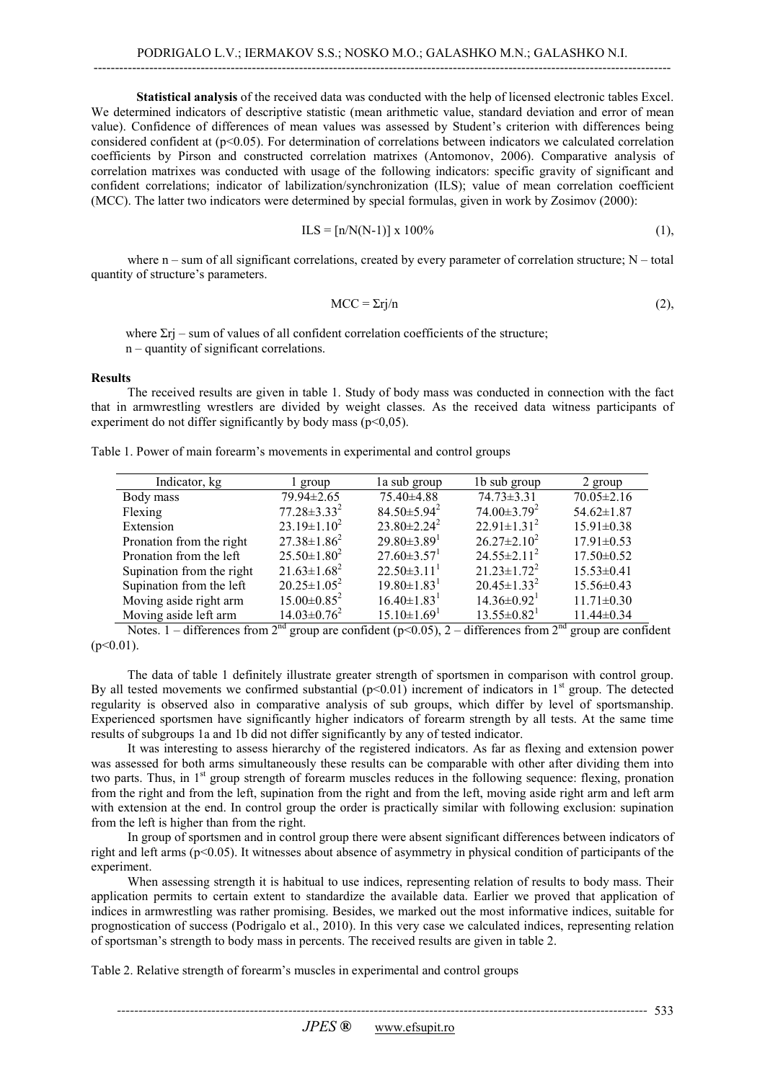# **Statistical analysis** of the received data was conducted with the help of licensed electronic tables Excel. We determined indicators of descriptive statistic (mean arithmetic value, standard deviation and error of mean value). Confidence of differences of mean values was assessed by Student's criterion with differences being considered confident at  $(p<0.05)$ . For determination of correlations between indicators we calculated correlation coefficients by Pirson and constructed correlation matrixes (Antomonov, 2006). Comparative analysis of correlation matrixes was conducted with usage of the following indicators: specific gravity of significant and confident correlations; indicator of labilization/synchronization (ILS); value of mean correlation coefficient (MCC). The latter two indicators were determined by special formulas, given in work by Zosimov (2000):

$$
ILS = [n/N(N-1)] \times 100\% \tag{1},
$$

where  $n - \text{sum of all significant correlations, created by every parameter of correlation structure;  $N - \text{total}$$ quantity of structure's parameters.

$$
MCC = \Sigma r j / n \tag{2},
$$

where  $\Sigma$ rj – sum of values of all confident correlation coefficients of the structure; n – quantity of significant correlations.

### **Results**

The received results are given in table 1. Study of body mass was conducted in connection with the fact that in armwrestling wrestlers are divided by weight classes. As the received data witness participants of experiment do not differ significantly by body mass ( $p \le 0.05$ ).

|  |  |  | Table 1. Power of main forearm's movements in experimental and control groups |  |  |
|--|--|--|-------------------------------------------------------------------------------|--|--|
|  |  |  |                                                                               |  |  |

| Indicator, kg             | l group            | la sub group                  | 1b sub group                  | 2 group          |
|---------------------------|--------------------|-------------------------------|-------------------------------|------------------|
| Body mass                 | 79.94±2.65         | 75.40±4.88                    | $74.73 \pm 3.31$              | $70.05 \pm 2.16$ |
| Flexing                   | $77.28 \pm 3.33^2$ | $84.50 \pm 5.94^2$            | $74.00\pm3.79^2$              | $54.62 \pm 1.87$ |
| Extension                 | $23.19 \pm 1.10^2$ | $23.80 \pm 2.24^2$            | $22.91 \pm 1.31^2$            | $15.91 \pm 0.38$ |
| Pronation from the right  | $27.38 \pm 1.86^2$ | $29.80 \pm 3.89$ <sup>1</sup> | $26.27 \pm 2.10^2$            | $17.91 \pm 0.53$ |
| Pronation from the left   | $25.50 \pm 1.80^2$ | $27.60 \pm 3.57$ <sup>1</sup> | $24.55 \pm 2.11^2$            | $17.50 \pm 0.52$ |
| Supination from the right | $21.63 \pm 1.68^2$ | $22.50\pm3.11^1$              | $21.23 \pm 1.72^2$            | $15.53 \pm 0.41$ |
| Supination from the left  | $20.25 \pm 1.05^2$ | $19.80 \pm 1.83$ <sup>1</sup> | $20.45 \pm 1.33^2$            | 15.56±0.43       |
| Moving aside right arm    | $15.00 \pm 0.85^2$ | $16.40 \pm 1.83$ <sup>1</sup> | $14.36 \pm 0.92$ <sup>1</sup> | $11.71 \pm 0.30$ |
| Moving aside left arm     | $14.03 \pm 0.76^2$ | $15.10 \pm 1.69$ <sup>1</sup> | $13.55 \pm 0.82^1$            | $11.44 \pm 0.34$ |

Notes. 1 – differences from  $2<sup>nd</sup>$  group are confident (p<0.05), 2 – differences from  $2<sup>nd</sup>$  group are confident  $(p<0.01)$ .

The data of table 1 definitely illustrate greater strength of sportsmen in comparison with control group. By all tested movements we confirmed substantial  $(p<0.01)$  increment of indicators in 1<sup>st</sup> group. The detected regularity is observed also in comparative analysis of sub groups, which differ by level of sportsmanship. Experienced sportsmen have significantly higher indicators of forearm strength by all tests. At the same time results of subgroups 1a and 1b did not differ significantly by any of tested indicator.

It was interesting to assess hierarchy of the registered indicators. As far as flexing and extension power was assessed for both arms simultaneously these results can be comparable with other after dividing them into two parts. Thus, in 1<sup>st</sup> group strength of forearm muscles reduces in the following sequence: flexing, pronation from the right and from the left, supination from the right and from the left, moving aside right arm and left arm with extension at the end. In control group the order is practically similar with following exclusion: supination from the left is higher than from the right.

In group of sportsmen and in control group there were absent significant differences between indicators of right and left arms (p<0.05). It witnesses about absence of asymmetry in physical condition of participants of the experiment.

When assessing strength it is habitual to use indices, representing relation of results to body mass. Their application permits to certain extent to standardize the available data. Earlier we proved that application of indices in armwrestling was rather promising. Besides, we marked out the most informative indices, suitable for prognostication of success (Podrigalo et al., 2010). In this very case we calculated indices, representing relation of sportsman's strength to body mass in percents. The received results are given in table 2.

Table 2. Relative strength of forearm's muscles in experimental and control groups

*----------------------------------------------------------------------------------------------------------------------------*  533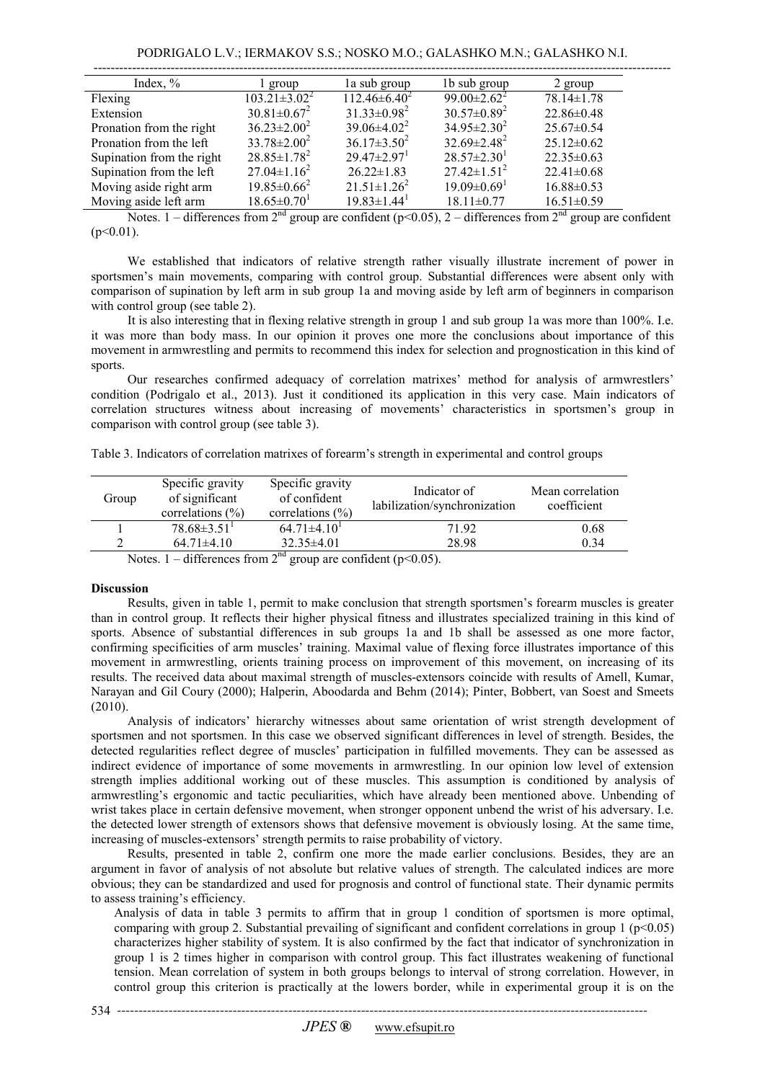| Index, $\%$               | l group                       | la sub group                  | 1b sub group                  | 2 group          |
|---------------------------|-------------------------------|-------------------------------|-------------------------------|------------------|
| Flexing                   | $103.21 \pm 3.02^2$           | $112.46 \pm 6.40^2$           | 99.00 $\pm$ 2.62 <sup>2</sup> | $78.14 \pm 1.78$ |
| Extension                 | $30.81 \pm 0.67^2$            | $31.33 \pm 0.98^2$            | $30.57 \pm 0.89^2$            | $22.86 \pm 0.48$ |
| Pronation from the right  | $36.23 \pm 2.00^2$            | $39.06\pm4.02^2$              | $34.95 \pm 2.30^2$            | $25.67\pm0.54$   |
| Pronation from the left   | $33.78 \pm 2.00^2$            | $36.17 \pm 3.50^2$            | $32.69 \pm 2.48^2$            | $25.12\pm0.62$   |
| Supination from the right | $28.85 \pm 1.78^2$            | $29.47 \pm 2.97$ <sup>1</sup> | $28.57 \pm 2.30^1$            | $22.35 \pm 0.63$ |
| Supination from the left  | $27.04 \pm 1.16^2$            | $26.22 \pm 1.83$              | $27.42 \pm 1.51^2$            | $22.41 \pm 0.68$ |
| Moving aside right arm    | $19.85 \pm 0.66^2$            | $21.51 \pm 1.26^2$            | $19.09 \pm 0.69$ <sup>1</sup> | $16.88 \pm 0.53$ |
| Moving aside left arm     | $18.65 \pm 0.70$ <sup>1</sup> | $19.83 \pm 1.44$ <sup>1</sup> | $18.11 \pm 0.77$              | $16.51 \pm 0.59$ |

Notes. 1 – differences from  $2^{nd}$  group are confident (p<0.05), 2 – differences from  $2^{nd}$  group are confident  $(p<0.01)$ .

We established that indicators of relative strength rather visually illustrate increment of power in sportsmen's main movements, comparing with control group. Substantial differences were absent only with comparison of supination by left arm in sub group 1a and moving aside by left arm of beginners in comparison with control group (see table 2).

It is also interesting that in flexing relative strength in group 1 and sub group 1a was more than 100%. I.e. it was more than body mass. In our opinion it proves one more the conclusions about importance of this movement in armwrestling and permits to recommend this index for selection and prognostication in this kind of sports.

Our researches confirmed adequacy of correlation matrixes' method for analysis of armwrestlers' condition (Podrigalo et al., 2013). Just it conditioned its application in this very case. Main indicators of correlation structures witness about increasing of movements' characteristics in sportsmen's group in comparison with control group (see table 3).

Table 3. Indicators of correlation matrixes of forearm's strength in experimental and control groups

| Group                                                                                                                                                                                                                                                                                                                                                                                                                                                 | Specific gravity<br>of significant<br>correlations $(\% )$ | Specific gravity<br>of confident<br>correlations $(\% )$ | Indicator of<br>labilization/synchronization | Mean correlation<br>coefficient |  |  |
|-------------------------------------------------------------------------------------------------------------------------------------------------------------------------------------------------------------------------------------------------------------------------------------------------------------------------------------------------------------------------------------------------------------------------------------------------------|------------------------------------------------------------|----------------------------------------------------------|----------------------------------------------|---------------------------------|--|--|
|                                                                                                                                                                                                                                                                                                                                                                                                                                                       | $78.68\pm3.51$                                             | $64.71\pm4.10$ <sup>1</sup>                              | 71 92                                        | 0.68                            |  |  |
|                                                                                                                                                                                                                                                                                                                                                                                                                                                       | $64.71\pm4.10$                                             | $32.35\pm4.01$                                           | 28.98                                        | 0.34                            |  |  |
| $\mathcal{M}$ $\rightarrow$ $\mathcal{M}$ $\rightarrow$ $\mathcal{M}$ $\rightarrow$ $\mathcal{M}$ $\rightarrow$ $\mathcal{M}$ $\rightarrow$ $\mathcal{M}$ $\rightarrow$ $\mathcal{M}$ $\rightarrow$ $\mathcal{M}$ $\rightarrow$ $\mathcal{M}$ $\rightarrow$ $\mathcal{M}$ $\rightarrow$ $\mathcal{M}$ $\rightarrow$ $\mathcal{M}$ $\rightarrow$ $\mathcal{M}$ $\rightarrow$ $\mathcal{M}$ $\rightarrow$ $\mathcal{M}$ $\rightarrow$ $\mathcal{M}$ $\$ |                                                            |                                                          |                                              |                                 |  |  |

Notes. 1 – differences from  $2^{na}$  group are confident (p<0.05).

## **Discussion**

Results, given in table 1, permit to make conclusion that strength sportsmen's forearm muscles is greater than in control group. It reflects their higher physical fitness and illustrates specialized training in this kind of sports. Absence of substantial differences in sub groups 1a and 1b shall be assessed as one more factor, confirming specificities of arm muscles' training. Maximal value of flexing force illustrates importance of this movement in armwrestling, orients training process on improvement of this movement, on increasing of its results. The received data about maximal strength of muscles-extensors coincide with results of Amell, Kumar, Narayan and Gil Coury (2000); Halperin, Aboodarda and Behm (2014); Pinter, Bobbert, van Soest and Smeets (2010).

Analysis of indicators' hierarchy witnesses about same orientation of wrist strength development of sportsmen and not sportsmen. In this case we observed significant differences in level of strength. Besides, the detected regularities reflect degree of muscles' participation in fulfilled movements. They can be assessed as indirect evidence of importance of some movements in armwrestling. In our opinion low level of extension strength implies additional working out of these muscles. This assumption is conditioned by analysis of armwrestling's ergonomic and tactic peculiarities, which have already been mentioned above. Unbending of wrist takes place in certain defensive movement, when stronger opponent unbend the wrist of his adversary. I.e. the detected lower strength of extensors shows that defensive movement is obviously losing. At the same time, increasing of muscles-extensors' strength permits to raise probability of victory.

Results, presented in table 2, confirm one more the made earlier conclusions. Besides, they are an argument in favor of analysis of not absolute but relative values of strength. The calculated indices are more obvious; they can be standardized and used for prognosis and control of functional state. Their dynamic permits to assess training's efficiency.

Analysis of data in table 3 permits to affirm that in group 1 condition of sportsmen is more optimal, comparing with group 2. Substantial prevailing of significant and confident correlations in group  $1 (p<0.05)$ characterizes higher stability of system. It is also confirmed by the fact that indicator of synchronization in group 1 is 2 times higher in comparison with control group. This fact illustrates weakening of functional tension. Mean correlation of system in both groups belongs to interval of strong correlation. However, in control group this criterion is practically at the lowers border, while in experimental group it is on the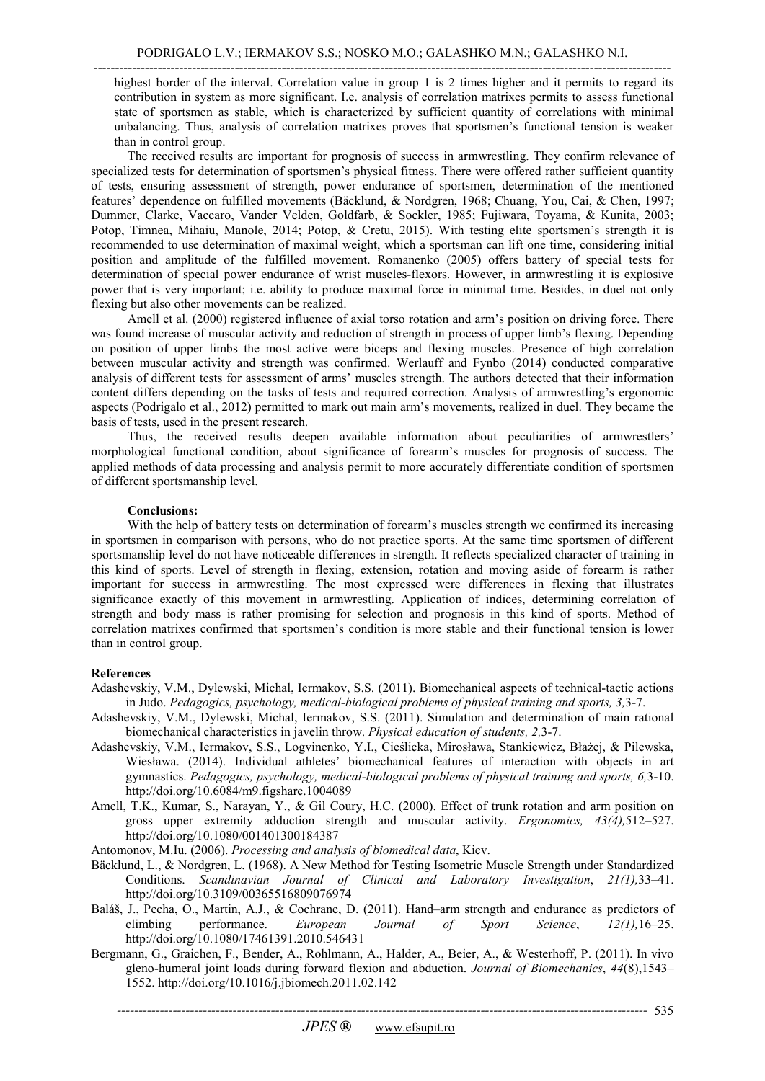highest border of the interval. Correlation value in group 1 is 2 times higher and it permits to regard its contribution in system as more significant. I.e. analysis of correlation matrixes permits to assess functional state of sportsmen as stable, which is characterized by sufficient quantity of correlations with minimal unbalancing. Thus, analysis of correlation matrixes proves that sportsmen's functional tension is weaker than in control group.

The received results are important for prognosis of success in armwrestling. They confirm relevance of specialized tests for determination of sportsmen's physical fitness. There were offered rather sufficient quantity of tests, ensuring assessment of strength, power endurance of sportsmen, determination of the mentioned features' dependence on fulfilled movements (Bäcklund, & Nordgren, 1968; Chuang, You, Cai, & Chen, 1997; Dummer, Clarke, Vaccaro, Vander Velden, Goldfarb, & Sockler, 1985; Fujiwara, Toyama, & Kunita, 2003; Potop, Timnea, Mihaiu, Manole, 2014; Potop, & Cretu, 2015). With testing elite sportsmen's strength it is recommended to use determination of maximal weight, which a sportsman can lift one time, considering initial position and amplitude of the fulfilled movement. Romanenko (2005) offers battery of special tests for determination of special power endurance of wrist muscles-flexors. However, in armwrestling it is explosive power that is very important; i.e. ability to produce maximal force in minimal time. Besides, in duel not only flexing but also other movements can be realized.

Amell et al. (2000) registered influence of axial torso rotation and arm's position on driving force. There was found increase of muscular activity and reduction of strength in process of upper limb's flexing. Depending on position of upper limbs the most active were biceps and flexing muscles. Presence of high correlation between muscular activity and strength was confirmed. Werlauff and Fynbo (2014) conducted comparative analysis of different tests for assessment of arms' muscles strength. The authors detected that their information content differs depending on the tasks of tests and required correction. Analysis of armwrestling's ergonomic aspects (Podrigalo et al., 2012) permitted to mark out main arm's movements, realized in duel. They became the basis of tests, used in the present research.

Thus, the received results deepen available information about peculiarities of armwrestlers' morphological functional condition, about significance of forearm's muscles for prognosis of success. The applied methods of data processing and analysis permit to more accurately differentiate condition of sportsmen of different sportsmanship level.

### **Conclusions:**

With the help of battery tests on determination of forearm's muscles strength we confirmed its increasing in sportsmen in comparison with persons, who do not practice sports. At the same time sportsmen of different sportsmanship level do not have noticeable differences in strength. It reflects specialized character of training in this kind of sports. Level of strength in flexing, extension, rotation and moving aside of forearm is rather important for success in armwrestling. The most expressed were differences in flexing that illustrates significance exactly of this movement in armwrestling. Application of indices, determining correlation of strength and body mass is rather promising for selection and prognosis in this kind of sports. Method of correlation matrixes confirmed that sportsmen's condition is more stable and their functional tension is lower than in control group.

#### **References**

- Adashevskiy, V.M., Dylewski, Michal, Iermakov, S.S. (2011). Biomechanical aspects of technical-tactic actions in Judo. *Pedagogics, psychology, medical-biological problems of physical training and sports, 3,*3-7.
- Adashevskiy, V.M., Dylewski, Michal, Iermakov, S.S. (2011). Simulation and determination of main rational biomechanical characteristics in javelin throw. *Physical education of students, 2,*3-7.
- Adashevskiy, V.M., Iermakov, S.S., Logvinenko, Y.I., Cieślicka, Mirosława, Stankiewicz, Błażej, & Pilewska, Wiesława. (2014). Individual athletes' biomechanical features of interaction with objects in art gymnastics. *Pedagogics, psychology, medical-biological problems of physical training and sports, 6,*3-10. http://doi.org/10.6084/m9.figshare.1004089
- Amell, T.K., Kumar, S., Narayan, Y., & Gil Coury, H.C. (2000). Effect of trunk rotation and arm position on gross upper extremity adduction strength and muscular activity. *Ergonomics, 43(4),*512–527. http://doi.org/10.1080/001401300184387
- Antomonov, M.Iu. (2006). *Processing and analysis of biomedical data*, Kiev.
- Bäcklund, L., & Nordgren, L. (1968). A New Method for Testing Isometric Muscle Strength under Standardized Conditions. *Scandinavian Journal of Clinical and Laboratory Investigation*, *21(1),*33–41. http://doi.org/10.3109/00365516809076974
- Baláš, J., Pecha, O., Martin, A.J., & Cochrane, D. (2011). Hand–arm strength and endurance as predictors of climbing performance. *European Journal of Sport Science*. 12(1).16–25. performance. *European Journal of Sport* http://doi.org/10.1080/17461391.2010.546431
- Bergmann, G., Graichen, F., Bender, A., Rohlmann, A., Halder, A., Beier, A., & Westerhoff, P. (2011). In vivo gleno-humeral joint loads during forward flexion and abduction. *Journal of Biomechanics*, *44*(8),1543– 1552. http://doi.org/10.1016/j.jbiomech.2011.02.142

*----------------------------------------------------------------------------------------------------------------------------*  535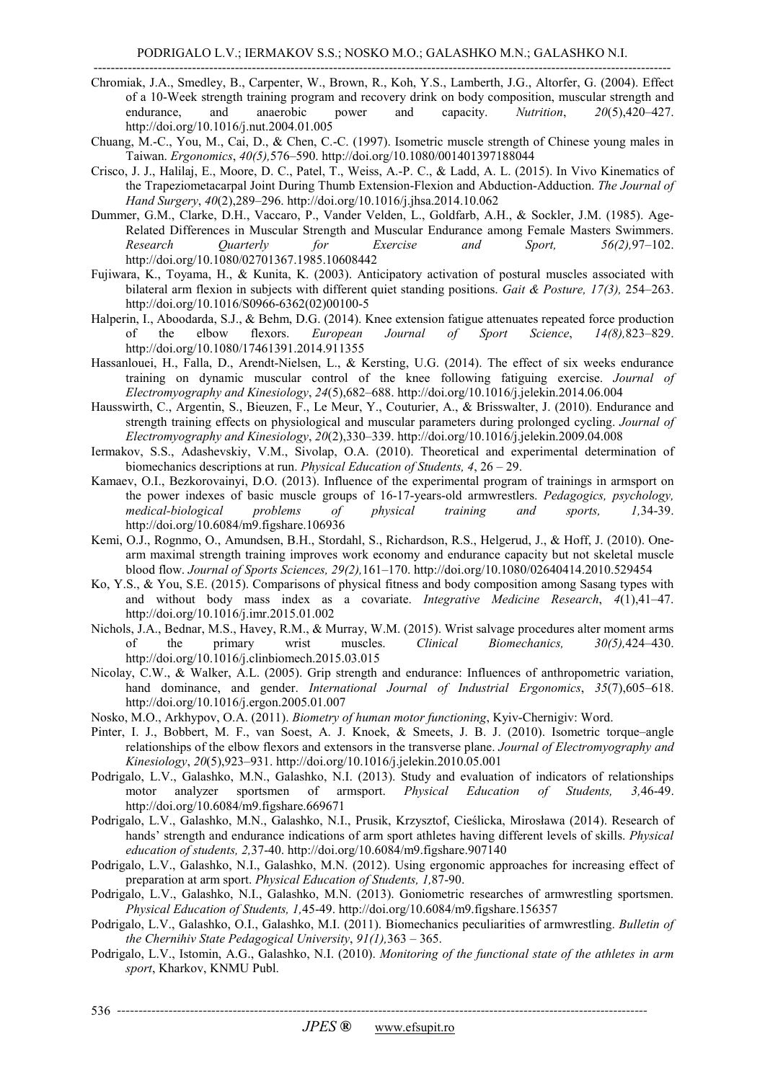---------------------------------------------------------------------------------------------------------------------------------------

- Chromiak, J.A., Smedley, B., Carpenter, W., Brown, R., Koh, Y.S., Lamberth, J.G., Altorfer, G. (2004). Effect of a 10-Week strength training program and recovery drink on body composition, muscular strength and endurance, and anaerobic power and capacity. *Nutrition*, *20*(5),420–427. http://doi.org/10.1016/j.nut.2004.01.005
- Chuang, M.-C., You, M., Cai, D., & Chen, C.-C. (1997). Isometric muscle strength of Chinese young males in Taiwan. *Ergonomics*, *40(5),*576–590. http://doi.org/10.1080/001401397188044
- Crisco, J. J., Halilaj, E., Moore, D. C., Patel, T., Weiss, A.-P. C., & Ladd, A. L. (2015). In Vivo Kinematics of the Trapeziometacarpal Joint During Thumb Extension-Flexion and Abduction-Adduction. *The Journal of Hand Surgery*, *40*(2),289–296. http://doi.org/10.1016/j.jhsa.2014.10.062
- Dummer, G.M., Clarke, D.H., Vaccaro, P., Vander Velden, L., Goldfarb, A.H., & Sockler, J.M. (1985). Age-Related Differences in Muscular Strength and Muscular Endurance among Female Masters Swimmers. *Research Quarterly for Exercise and Sport, 56(2),*97–102. http://doi.org/10.1080/02701367.1985.10608442
- Fujiwara, K., Toyama, H., & Kunita, K. (2003). Anticipatory activation of postural muscles associated with bilateral arm flexion in subjects with different quiet standing positions. *Gait & Posture, 17(3),* 254–263. http://doi.org/10.1016/S0966-6362(02)00100-5
- Halperin, I., Aboodarda, S.J., & Behm, D.G. (2014). Knee extension fatigue attenuates repeated force production of the elbow flexors. *European Journal of Sport Science*. 1468.823–829. of the elbow flexors. *European Journal of Sport Science*, *14(8),*823–829. http://doi.org/10.1080/17461391.2014.911355
- Hassanlouei, H., Falla, D., Arendt-Nielsen, L., & Kersting, U.G. (2014). The effect of six weeks endurance training on dynamic muscular control of the knee following fatiguing exercise. *Journal of Electromyography and Kinesiology*, *24*(5),682–688. http://doi.org/10.1016/j.jelekin.2014.06.004
- Hausswirth, C., Argentin, S., Bieuzen, F., Le Meur, Y., Couturier, A., & Brisswalter, J. (2010). Endurance and strength training effects on physiological and muscular parameters during prolonged cycling. *Journal of Electromyography and Kinesiology*, *20*(2),330–339. http://doi.org/10.1016/j.jelekin.2009.04.008
- Iermakov, S.S., Adashevskiy, V.M., Sivolap, O.A. (2010). Theoretical and experimental determination of biomechanics descriptions at run. *Physical Education of Students, 4*, 26 – 29.
- Kamaev, O.I., Bezkorovainyi, D.O. (2013). Influence of the experimental program of trainings in armsport on the power indexes of basic muscle groups of 16-17-years-old armwrestlers. *Pedagogics, psychology, medical-biological problems of physical training and sports, 1,*34-39. http://doi.org/10.6084/m9.figshare.106936
- Kemi, O.J., Rognmo, O., Amundsen, B.H., Stordahl, S., Richardson, R.S., Helgerud, J., & Hoff, J. (2010). Onearm maximal strength training improves work economy and endurance capacity but not skeletal muscle blood flow. *Journal of Sports Sciences, 29(2),*161–170. http://doi.org/10.1080/02640414.2010.529454
- Ko, Y.S., & You, S.E. (2015). Comparisons of physical fitness and body composition among Sasang types with and without body mass index as a covariate. *Integrative Medicine Research*, *4*(1),41–47. http://doi.org/10.1016/j.imr.2015.01.002
- Nichols, J.A., Bednar, M.S., Havey, R.M., & Murray, W.M. (2015). Wrist salvage procedures alter moment arms of the primary wrist muscles. *Clinical Biomechanics, 30(5),*424–430. http://doi.org/10.1016/j.clinbiomech.2015.03.015
- Nicolay, C.W., & Walker, A.L. (2005). Grip strength and endurance: Influences of anthropometric variation, hand dominance, and gender. *International Journal of Industrial Ergonomics*, *35*(7),605–618. http://doi.org/10.1016/j.ergon.2005.01.007
- Nosko, M.O., Arkhypov, O.A. (2011). *Biometry of human motor functioning*, Kyiv-Chernigiv: Word.
- Pinter, I. J., Bobbert, M. F., van Soest, A. J. Knoek, & Smeets, J. B. J. (2010). Isometric torque–angle relationships of the elbow flexors and extensors in the transverse plane. *Journal of Electromyography and Kinesiology*, *20*(5),923–931. http://doi.org/10.1016/j.jelekin.2010.05.001
- Podrigalo, L.V., Galashko, M.N., Galashko, N.I. (2013). Study and evaluation of indicators of relationships motor analyzer sportsmen of armsport. *Physical Education of Students, 3,*46-49. http://doi.org/10.6084/m9.figshare.669671
- Podrigalo, L.V., Galashko, M.N., Galashko, N.I., Prusik, Krzysztof, Cieślicka, Mirosława (2014). Research of hands' strength and endurance indications of arm sport athletes having different levels of skills. *Physical education of students, 2,*37-40. http://doi.org/10.6084/m9.figshare.907140
- Podrigalo, L.V., Galashko, N.I., Galashko, M.N. (2012). Using ergonomic approaches for increasing effect of preparation at arm sport. *Physical Education of Students, 1,*87-90.
- Podrigalo, L.V., Galashko, N.I., Galashko, M.N. (2013). Goniometric researches of armwrestling sportsmen. *Physical Education of Students, 1,*45-49. http://doi.org/10.6084/m9.figshare.156357
- Podrigalo, L.V., Galashko, O.I., Galashko, M.I. (2011). Biomechanics peculiarities of armwrestling. *Bulletin of the Chernihiv State Pedagogical University*, *91(1),*363 – 365.
- Podrigalo, L.V., Istomin, A.G., Galashko, N.I. (2010). *Monitoring of the functional state of the athletes in arm sport*, Kharkov, KNMU Publ.

*----------------------------------------------------------------------------------------------------------------------------*  536